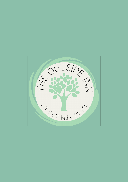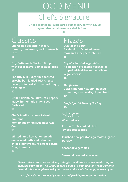# FOOD MENU

# Chef's Signature

 **Grilled lobster tail with garlic butter served with caviar mayonnaise, an allotment salad & fries 25**

# Classics

**Chargrilled 6oz sirloin steak, tomato, mushroom, garlic butter & fries 18**

**Quy Buttermilk Chicken Burger with garlic mayo, gem lettuce, fries 15**

**The Quy Mill Burger in a toasted brioche bun loaded with cheese, bacon, onion relish, mustard mayo, fries, slaw 17**

**Grilled British halloumi, red pepper mayo, homemade onion seed flatbread 16**

**Chef's Mediterranean Falafel, hummus, homemade onion seed flatbread (Ve) 15**

**Minted lamb kofta, homemade onion seed flatbread, chopped chilies, mint yoghurt, sweet potato fries, hummus 17**

#### Pizzas

*Outside Inn Carni* **A selection of cooked meats, mozzarella, peppers, chili oil 15**

*Quy Mill Roasted Vegetables* **A selection of roasted vegetables topped with either mozzarella or vegan cheese 15**

*Margherita* **Classic margherita, sun-blushed tomatoes, mozzarella, ripped basil 12**

*Chef's Special Pizza of the Day* **15**

Sides *All priced at 4*

**Fries // Triple cooked chips Sweet potato fries**

**Crushed new potatoes gremolata, garlic, parsley**

**Seasonal vegetables**

**Seasonal dressed side salad**

*Please advise your server of any allergies or dietary requirements before ordering your meal. This Menu is just a guide, if you have any requirements beyond this menu, please ask your server and we will be happy to assist you.*

*All of our dishes are locally sourced and freshly prepared on the day*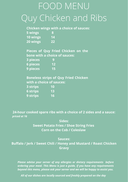# Quy Chicken and Ribs FOOD MENU

|          | <b>Chicken wings with a choice of sauces:</b> |  |
|----------|-----------------------------------------------|--|
| 5 wings  | я                                             |  |
| 10 wings | 14                                            |  |
| 20 wings | 22.                                           |  |

**Pieces of Quy Fried Chicken on the bone with a choice of sauces: 3 pieces 9**

**6 pieces 12 9 pieces 15**

**Boneless strips of Quy Fried Chicken with a choice of sauces: 3 strips 10**

**6 strips 13 9 strips 16**

**24-hour cooked spare ribs with a choice of 2 sides and a sauce:**  *priced at 16*

> **Sides: Sweet Potato Fries / Shoe String Fries Corn on the Cob / Coleslaw**

> > **Sauces:**

**Buffalo / Jerk / Sweet Chili / Honey and Mustard / Roast Chicken Gravy**

*Please advise your server of any allergies or dietary requirements before ordering your meal. This Menu is just a guide, if you have any requirements beyond this menu, please ask your server and we will be happy to assist you.*

*All of our dishes are locally sourced and freshly prepared on the day*